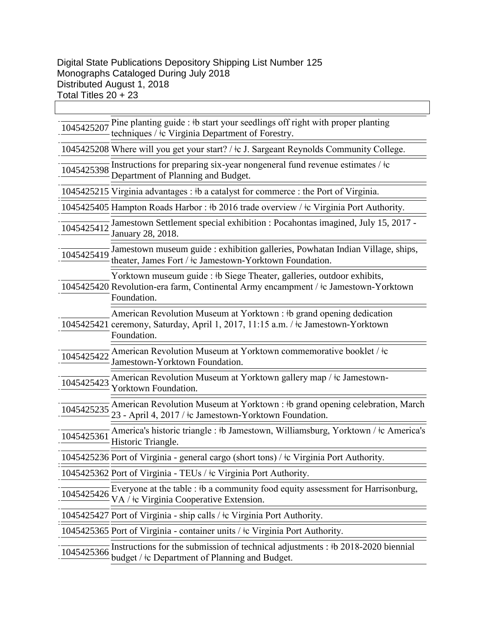|            | $\frac{1045425207}{1045425207}$ Pine planting guide : $\frac{1}{2}$ b start your seedlings off right with proper planting<br>techniques / $\pm c$ Virginia Department of Forestry. |
|------------|------------------------------------------------------------------------------------------------------------------------------------------------------------------------------------|
|            | 1045425208 Where will you get your start? / ‡c J. Sargeant Reynolds Community College.                                                                                             |
|            | 1045425398 Instructions for preparing six-year nongeneral fund revenue estimates / $\frac{1}{2}$<br>Department of Planning and Budget.                                             |
|            | 1045425215 Virginia advantages : #b a catalyst for commerce : the Port of Virginia.                                                                                                |
|            | 1045425405 Hampton Roads Harbor: #b 2016 trade overview / #c Virginia Port Authority.                                                                                              |
|            | Jamestown Settlement special exhibition : Pocahontas imagined, July 15, 2017 -<br>January 28, 2018.                                                                                |
| 1045425419 | Jamestown museum guide : exhibition galleries, Powhatan Indian Village, ships,<br>theater, James Fort / $\pm c$ Jamestown-Yorktown Foundation.                                     |
|            | Yorktown museum guide : #b Siege Theater, galleries, outdoor exhibits,<br>1045425420 Revolution-era farm, Continental Army encampment / ‡c Jamestown-Yorktown<br>Foundation.       |
|            | American Revolution Museum at Yorktown : #b grand opening dedication<br>1045425421 ceremony, Saturday, April 1, 2017, 11:15 a.m. / ‡c Jamestown-Yorktown<br>Foundation.            |
| 1045425422 | American Revolution Museum at Yorktown commemorative booklet / $\pm c$<br>Jamestown-Yorktown Foundation.                                                                           |
| 1045425423 | American Revolution Museum at Yorktown gallery map / ‡c Jamestown-<br>Yorktown Foundation.                                                                                         |
| 1045425235 | American Revolution Museum at Yorktown : #b grand opening celebration, March<br>23 - April 4, 2017 / ‡c Jamestown-Yorktown Foundation.                                             |
| 1045425361 | America's historic triangle : #b Jamestown, Williamsburg, Yorktown / #c America's<br>Historic Triangle.                                                                            |
|            | 1045425236 Port of Virginia - general cargo (short tons) / ‡c Virginia Port Authority.                                                                                             |
|            | 1045425362 Port of Virginia - TEUs / ‡c Virginia Port Authority.                                                                                                                   |
| 1045425426 | Everyone at the table : #b a community food equity assessment for Harrisonburg,<br>VA / <sup>†</sup> c Virginia Cooperative Extension.                                             |
|            | 1045425427 Port of Virginia - ship calls / ‡c Virginia Port Authority.                                                                                                             |
|            | 1045425365 Port of Virginia - container units / $\pm$ Virginia Port Authority.                                                                                                     |
| 1045425366 | Instructions for the submission of technical adjustments : #b 2018-2020 biennial<br>budget / ‡c Department of Planning and Budget.                                                 |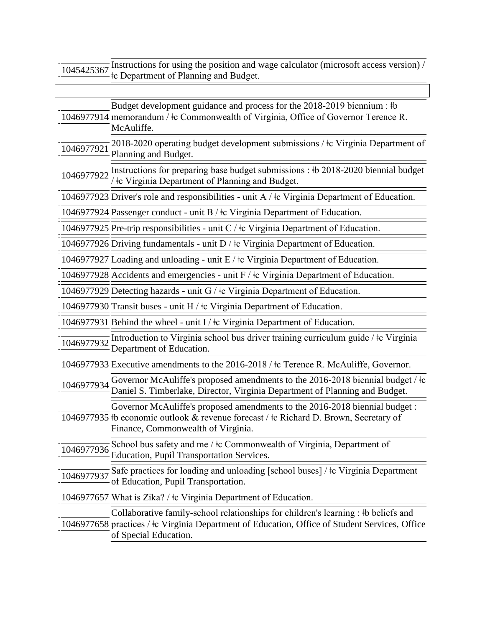1045425367 Instructions for using the position and wage calculator (microsoft access version) /  $\pm$  **E** Department of Planning and Budget.

|            | Budget development guidance and process for the 2018-2019 biennium : #b<br>1046977914 memorandum / $\pm c$ Commonwealth of Virginia, Office of Governor Terence R.<br>McAuliffe.                              |
|------------|---------------------------------------------------------------------------------------------------------------------------------------------------------------------------------------------------------------|
|            | 1046977921 2018-2020 operating budget development submissions / $\frac{1}{2}$ Virginia Department of<br>Planning and Budget.                                                                                  |
| 1046977922 | The Instructions for preparing base budget submissions : $\frac{1}{2}$ b 2018-2020 biennial budget<br>/ $\pm$ c Virginia Department of Planning and Budget.                                                   |
|            | 1046977923 Driver's role and responsibilities - unit A / $\pm$ Virginia Department of Education.                                                                                                              |
|            | 1046977924 Passenger conduct - unit B / $\pm$ c Virginia Department of Education.                                                                                                                             |
|            | 1046977925 Pre-trip responsibilities - unit C / $\pm$ Virginia Department of Education.                                                                                                                       |
|            | 1046977926 Driving fundamentals - unit $D / \text{tc Virginia Department of Education.}$                                                                                                                      |
|            | 1046977927 Loading and unloading - unit $E / \frac{1}{2}$ Virginia Department of Education.                                                                                                                   |
|            | 1046977928 Accidents and emergencies - unit F / $\pm$ c Virginia Department of Education.                                                                                                                     |
|            | 1046977929 Detecting hazards - unit $G / \dagger c$ Virginia Department of Education.                                                                                                                         |
|            | 1046977930 Transit buses - unit H / $\pm$ Virginia Department of Education.                                                                                                                                   |
|            | 1046977931 Behind the wheel - unit I / $\pm$ C Virginia Department of Education.                                                                                                                              |
| 1046977932 | Introduction to Virginia school bus driver training curriculum guide / $\pm c$ Virginia<br>Department of Education.                                                                                           |
|            | 1046977933 Executive amendments to the 2016-2018 / ‡c Terence R. McAuliffe, Governor.                                                                                                                         |
| 1046977934 | Governor McAuliffe's proposed amendments to the 2016-2018 biennial budget / $\pm c$<br>Daniel S. Timberlake, Director, Virginia Department of Planning and Budget.                                            |
|            | Governor McAuliffe's proposed amendments to the 2016-2018 biennial budget:<br>1046977935 +b economic outlook & revenue forecast / +c Richard D. Brown, Secretary of<br>Finance, Commonwealth of Virginia.     |
|            | 1046977936 School bus safety and me / $\frac{1}{2}$ Commonwealth of Virginia, Department of<br>Education, Pupil Transportation Services.                                                                      |
| 1046977937 | Safe practices for loading and unloading [school buses] / ‡c Virginia Department<br>of Education, Pupil Transportation.                                                                                       |
|            | 1046977657 What is Zika? / ‡c Virginia Department of Education.                                                                                                                                               |
|            | Collaborative family-school relationships for children's learning : #b beliefs and<br>1046977658 practices / ‡c Virginia Department of Education, Office of Student Services, Office<br>of Special Education. |
|            |                                                                                                                                                                                                               |